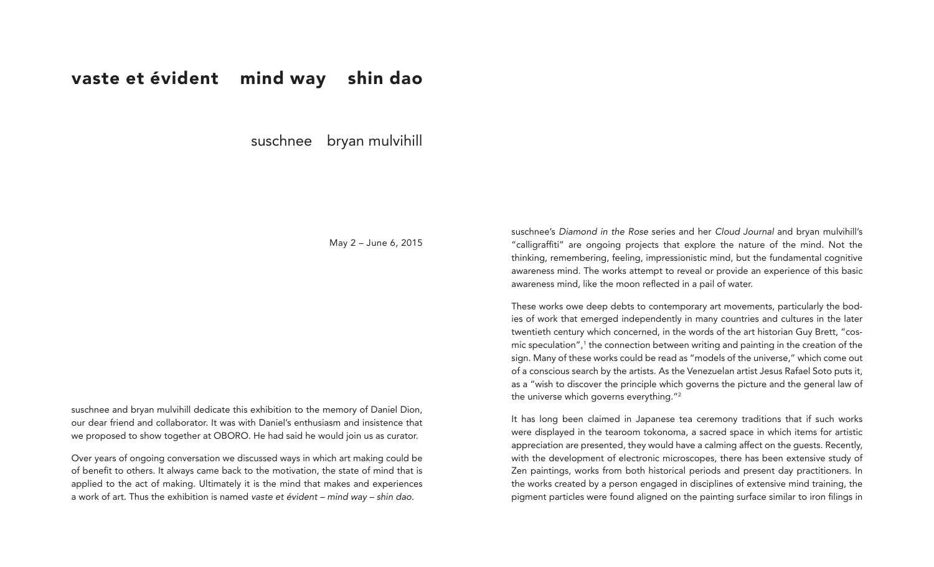## vaste et évident mind way shin dao

suschnee bryan mulvihill

May 2 – June 6, 2015

suschnee and bryan mulvihill dedicate this exhibition to the memory of Daniel Dion, our dear friend and collaborator. It was with Daniel's enthusiasm and insistence that we proposed to show together at OBORO. He had said he would join us as curator.

Over years of ongoing conversation we discussed ways in which art making could be of benefit to others. It always came back to the motivation, the state of mind that is applied to the act of making. Ultimately it is the mind that makes and experiences a work of art. Thus the exhibition is named *vaste et évident – mind way – shin dao*.

suschnee's *Diamond in the Rose* series and her *Cloud Journal* and bryan mulvihill's "calligraffiti" are ongoing projects that explore the nature of the mind. Not the thinking, remembering, feeling, impressionistic mind, but the fundamental cognitive awareness mind. The works attempt to reveal or provide an experience of this basic awareness mind, like the moon reflected in a pail of water.

These works owe deep debts to contemporary art movements, particularly the bodies of work that emerged independently in many countries and cultures in the later twentieth century which concerned, in the words of the art historian Guy Brett, "cosmic speculation",<sup>1</sup> the connection between writing and painting in the creation of the sign. Many of these works could be read as "models of the universe," which come out of a conscious search by the artists. As the Venezuelan artist Jesus Rafael Soto puts it, as a "wish to discover the principle which governs the picture and the general law of the universe which governs everything."<sup>2</sup>

It has long been claimed in Japanese tea ceremony traditions that if such works were displayed in the tearoom tokonoma, a sacred space in which items for artistic appreciation are presented, they would have a calming affect on the guests. Recently, with the development of electronic microscopes, there has been extensive study of Zen paintings, works from both historical periods and present day practitioners. In the works created by a person engaged in disciplines of extensive mind training, the pigment particles were found aligned on the painting surface similar to iron filings in